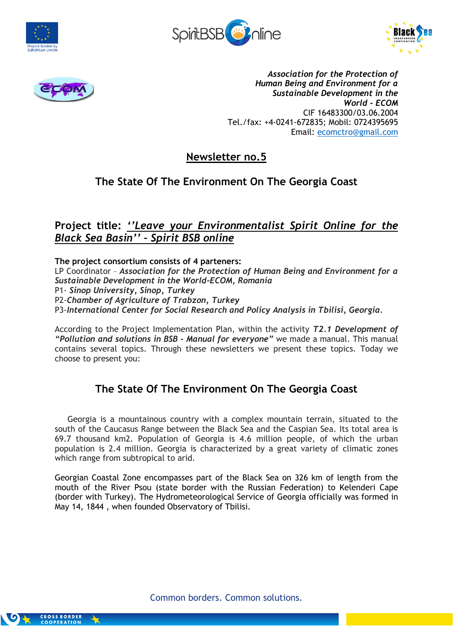







*Association for the Protection of Human Being and Environment for a Sustainable Development in the World - ECOM* CIF 16483300/03.06.2004 Tel./fax: +4-0241-672835; Mobil: 0724395695 Email: [ecomctro@gmail.com](mailto:ecomctro@gmail.com)

**Newsletter no.5**

# **The State Of The Environment On The Georgia Coast**

## **Project title:** *''Leave your Environmentalist Spirit Online for the Black Sea Basin'' – Spirit BSB online*

**The project consortium consists of 4 parteners:** LP Coordinator – *Association for the Protection of Human Being and Environment for a Sustainable Development in the World-ECOM, Romania* P1- *Sinop University, Sinop, Turkey* P2-*Chamber of Agriculture of Trabzon, Turkey*

P3-*International Center for Social Research and Policy Analysis in Tbilisi, Georgia.*

According to the Project Implementation Plan, within the activity *T2.1 Development of "Pollution and solutions in BSB - Manual for everyone"* we made a manual. This manual contains several topics. Through these newsletters we present these topics. Today we choose to present you:

# **The State Of The Environment On The Georgia Coast**

 Georgia is a mountainous country with a complex mountain terrain, situated to the south of the Caucasus Range between the Black Sea and the Caspian Sea. Its total area is 69.7 thousand km2. Population of Georgia is 4.6 million people, of which the urban population is 2.4 million. Georgia is characterized by a great variety of climatic zones which range from subtropical to arid.

Georgian Coastal Zone encompasses part of the Black Sea on 326 km of length from the mouth of the River Psou (state border with the Russian Federation) to Kelenderi Cape (border with Turkey). The Hydrometeorological Service of Georgia officially was formed in May 14, 1844 , when founded Observatory of Tbilisi.

Common borders. Common solutions.

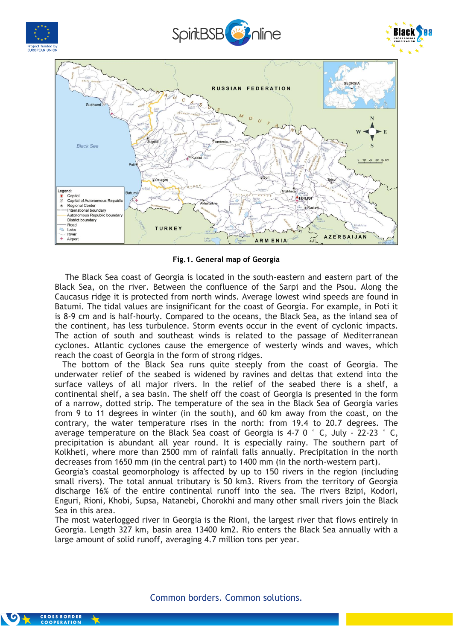

**Fig.1. General map of Georgia**

 The Black Sea coast of Georgia is located in the south-eastern and eastern part of the Black Sea, on the river. Between the confluence of the Sarpi and the Psou. Along the Caucasus ridge it is protected from north winds. Average lowest wind speeds are found in Batumi. The tidal values are insignificant for the coast of Georgia. For example, in Poti it is 8-9 cm and is half-hourly. Compared to the oceans, the Black Sea, as the inland sea of the continent, has less turbulence. Storm events occur in the event of cyclonic impacts. The action of south and southeast winds is related to the passage of Mediterranean cyclones. Atlantic cyclones cause the emergence of westerly winds and waves, which reach the coast of Georgia in the form of strong ridges.

 The bottom of the Black Sea runs quite steeply from the coast of Georgia. The underwater relief of the seabed is widened by ravines and deltas that extend into the surface valleys of all major rivers. In the relief of the seabed there is a shelf, a continental shelf, a sea basin. The shelf off the coast of Georgia is presented in the form of a narrow, dotted strip. The temperature of the sea in the Black Sea of Georgia varies from 9 to 11 degrees in winter (in the south), and 60 km away from the coast, on the contrary, the water temperature rises in the north: from 19.4 to 20.7 degrees. The average temperature on the Black Sea coast of Georgia is 4-7 0  $\degree$  C, July - 22-23  $\degree$  C, precipitation is abundant all year round. It is especially rainy. The southern part of Kolkheti, where more than 2500 mm of rainfall falls annually. Precipitation in the north decreases from 1650 mm (in the central part) to 1400 mm (in the north-western part).

Georgia's coastal geomorphology is affected by up to 150 rivers in the region (including small rivers). The total annual tributary is 50 km3. Rivers from the territory of Georgia discharge 16% of the entire continental runoff into the sea. The rivers Bzipi, Kodori, Enguri, Rioni, Khobi, Supsa, Natanebi, Chorokhi and many other small rivers join the Black Sea in this area.

The most waterlogged river in Georgia is the Rioni, the largest river that flows entirely in Georgia. Length 327 km, basin area 13400 km2. Rio enters the Black Sea annually with a large amount of solid runoff, averaging 4.7 million tons per year.



**CROSS BORDER**